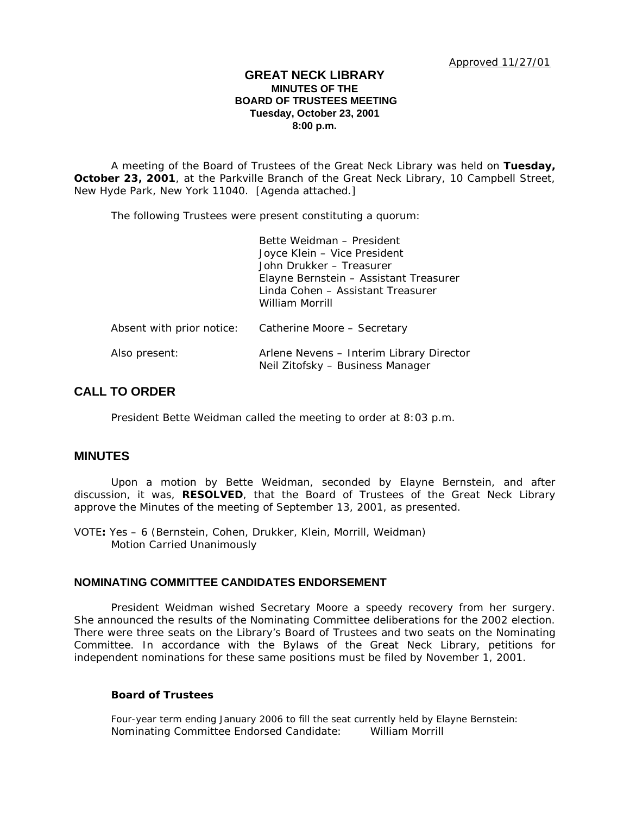### **GREAT NECK LIBRARY MINUTES OF THE BOARD OF TRUSTEES MEETING Tuesday, October 23, 2001 8:00 p.m.**

A meeting of the Board of Trustees of the Great Neck Library was held on **Tuesday, October 23, 2001**, at the Parkville Branch of the Great Neck Library, 10 Campbell Street, New Hyde Park, New York 11040. [Agenda attached.]

The following Trustees were present constituting a quorum:

|                           | Bette Weidman - President<br>Joyce Klein - Vice President<br>John Drukker - Treasurer<br>Elayne Bernstein - Assistant Treasurer<br>Linda Cohen - Assistant Treasurer<br>William Morrill |
|---------------------------|-----------------------------------------------------------------------------------------------------------------------------------------------------------------------------------------|
| Absent with prior notice: | Catherine Moore - Secretary                                                                                                                                                             |
| Also present:             | Arlene Nevens - Interim Library Director<br>Neil Zitofsky - Business Manager                                                                                                            |

# **CALL TO ORDER**

President Bette Weidman called the meeting to order at 8:03 p.m.

### **MINUTES**

Upon a motion by Bette Weidman, seconded by Elayne Bernstein, and after discussion, it was, **RESOLVED**, that the Board of Trustees of the Great Neck Library approve the Minutes of the meeting of September 13, 2001, as presented.

VOTE**:** Yes – 6 (Bernstein, Cohen, Drukker, Klein, Morrill, Weidman) *Motion Carried Unanimously*

# **NOMINATING COMMITTEE CANDIDATES ENDORSEMENT**

President Weidman wished Secretary Moore a speedy recovery from her surgery. She announced the results of the Nominating Committee deliberations for the 2002 election. There were three seats on the Library's Board of Trustees and two seats on the Nominating Committee. In accordance with the Bylaws of the Great Neck Library, petitions for independent nominations for these same positions must be filed by November 1, 2001.

### **Board of Trustees**

*Four-year term ending January 2006 to fill the seat currently held by Elayne Bernstein:* Nominating Committee Endorsed Candidate: William Morrill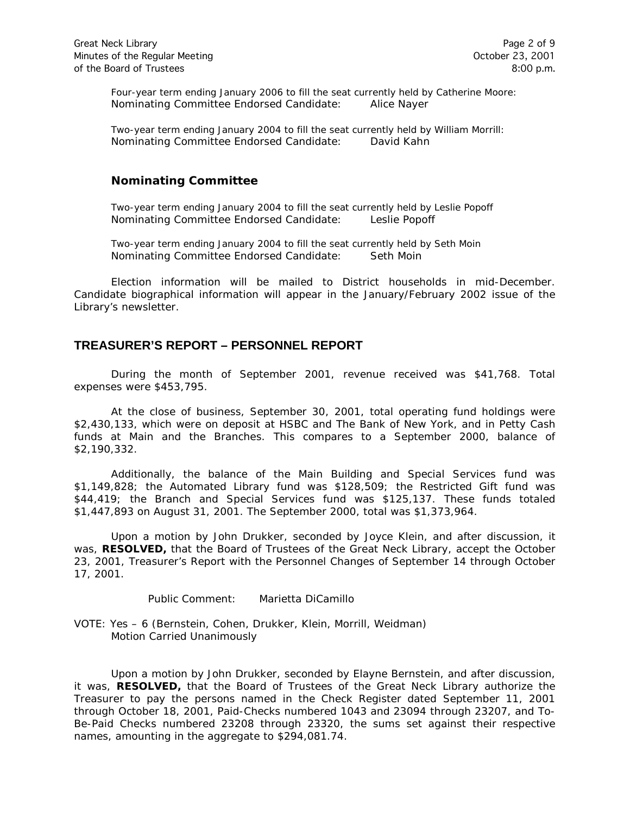*Four-year term ending January 2006 to fill the seat currently held by Catherine Moore:* Nominating Committee Endorsed Candidate: Alice Nayer

*Two-year term ending January 2004 to fill the seat currently held by William Morrill:* Nominating Committee Endorsed Candidate: David Kahn

### **Nominating Committee**

*Two-year term ending January 2004 to fill the seat currently held by Leslie Popoff* Nominating Committee Endorsed Candidate: Leslie Popoff

*Two-year term ending January 2004 to fill the seat currently held by Seth Moin* Nominating Committee Endorsed Candidate: Seth Moin

Election information will be mailed to District households in mid-December. Candidate biographical information will appear in the January/February 2002 issue of the Library's newsletter.

# **TREASURER'S REPORT – PERSONNEL REPORT**

During the month of September 2001, revenue received was \$41,768. Total expenses were \$453,795.

At the close of business, September 30, 2001, total operating fund holdings were \$2,430,133, which were on deposit at HSBC and The Bank of New York, and in Petty Cash funds at Main and the Branches. This compares to a September 2000, balance of \$2,190,332.

Additionally, the balance of the Main Building and Special Services fund was \$1,149,828; the Automated Library fund was \$128,509; the Restricted Gift fund was \$44,419; the Branch and Special Services fund was \$125,137. These funds totaled \$1,447,893 on August 31, 2001. The September 2000, total was \$1,373,964.

Upon a motion by John Drukker, seconded by Joyce Klein, and after discussion, it was, **RESOLVED,** that the Board of Trustees of the Great Neck Library, accept the October 23, 2001, Treasurer's Report with the Personnel Changes of September 14 through October 17, 2001.

Public Comment: Marietta DiCamillo

VOTE: Yes – 6 (Bernstein, Cohen, Drukker, Klein, Morrill, Weidman) *Motion Carried Unanimously*

Upon a motion by John Drukker, seconded by Elayne Bernstein, and after discussion, it was, **RESOLVED,** that the Board of Trustees of the Great Neck Library authorize the Treasurer to pay the persons named in the Check Register dated September 11, 2001 through October 18, 2001, Paid-Checks numbered 1043 and 23094 through 23207, and To-Be-Paid Checks numbered 23208 through 23320, the sums set against their respective names, amounting in the aggregate to \$294,081.74.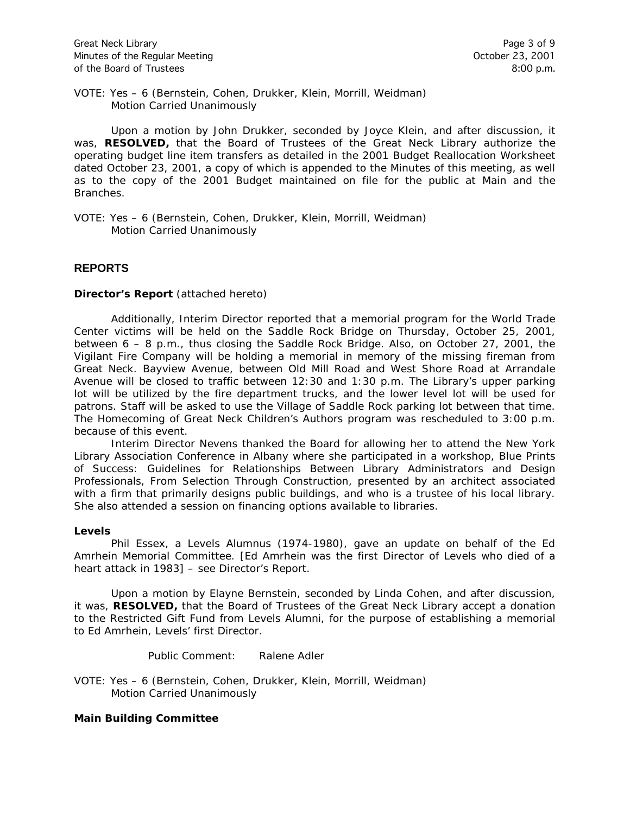VOTE: Yes – 6 (Bernstein, Cohen, Drukker, Klein, Morrill, Weidman) *Motion Carried Unanimously*

Upon a motion by John Drukker, seconded by Joyce Klein, and after discussion, it was, **RESOLVED,** that the Board of Trustees of the Great Neck Library authorize the operating budget line item transfers as detailed in the 2001 Budget Reallocation Worksheet dated October 23, 2001, a copy of which is appended to the Minutes of this meeting, as well as to the copy of the 2001 Budget maintained on file for the public at Main and the Branches.

VOTE: Yes – 6 (Bernstein, Cohen, Drukker, Klein, Morrill, Weidman) *Motion Carried Unanimously*

### **REPORTS**

#### **Director's Report** (attached hereto)

Additionally, Interim Director reported that a memorial program for the World Trade Center victims will be held on the Saddle Rock Bridge on Thursday, October 25, 2001, between 6 – 8 p.m., thus closing the Saddle Rock Bridge. Also, on October 27, 2001, the Vigilant Fire Company will be holding a memorial in memory of the missing fireman from Great Neck. Bayview Avenue, between Old Mill Road and West Shore Road at Arrandale Avenue will be closed to traffic between 12:30 and 1:30 p.m. The Library's upper parking lot will be utilized by the fire department trucks, and the lower level lot will be used for patrons. Staff will be asked to use the Village of Saddle Rock parking lot between that time. The Homecoming of Great Neck Children's Authors program was rescheduled to 3:00 p.m. because of this event.

Interim Director Nevens thanked the Board for allowing her to attend the New York Library Association Conference in Albany where she participated in a workshop, *Blue Prints of Success: Guidelines for Relationships Between Library Administrators and Design Professionals, From Selection Through Construction*, presented by an architect associated with a firm that primarily designs public buildings, and who is a trustee of his local library. She also attended a session on financing options available to libraries.

#### **Levels**

Phil Essex, a Levels Alumnus (1974-1980), gave an update on behalf of the Ed Amrhein Memorial Committee. [Ed Amrhein was the first Director of Levels who died of a heart attack in 1983] – see Director's Report.

Upon a motion by Elayne Bernstein, seconded by Linda Cohen, and after discussion, it was, **RESOLVED,** that the Board of Trustees of the Great Neck Library accept a donation to the Restricted Gift Fund from Levels Alumni, for the purpose of establishing a memorial to Ed Amrhein, Levels' first Director.

Public Comment: Ralene Adler

VOTE: Yes – 6 (Bernstein, Cohen, Drukker, Klein, Morrill, Weidman) *Motion Carried Unanimously*

#### **Main Building Committee**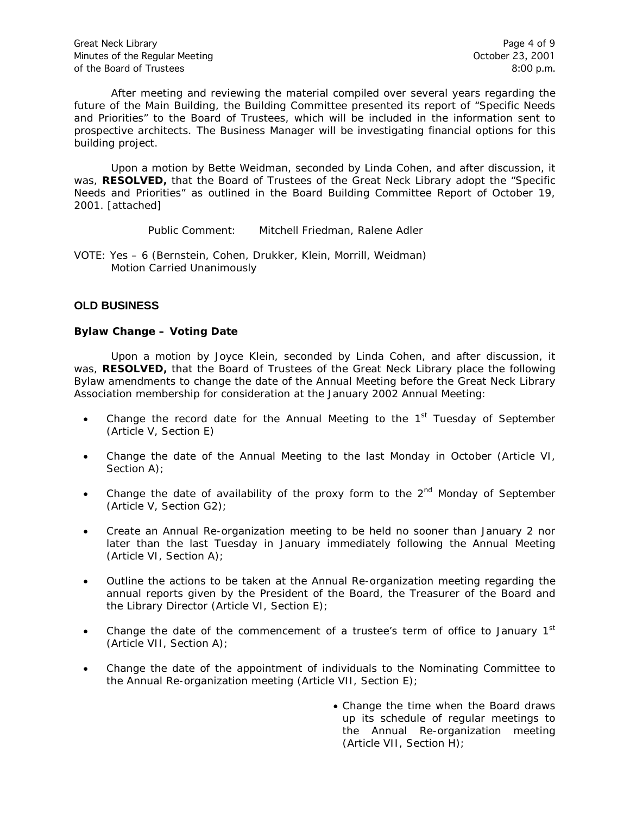After meeting and reviewing the material compiled over several years regarding the future of the Main Building, the Building Committee presented its report of "Specific Needs and Priorities" to the Board of Trustees, which will be included in the information sent to prospective architects. The Business Manager will be investigating financial options for this building project.

Upon a motion by Bette Weidman, seconded by Linda Cohen, and after discussion, it was, **RESOLVED,** that the Board of Trustees of the Great Neck Library adopt the "Specific Needs and Priorities" as outlined in the Board Building Committee Report of October 19, 2001. [attached]

Public Comment: Mitchell Friedman, Ralene Adler

VOTE: Yes – 6 (Bernstein, Cohen, Drukker, Klein, Morrill, Weidman) *Motion Carried Unanimously*

# **OLD BUSINESS**

### **Bylaw Change – Voting Date**

Upon a motion by Joyce Klein, seconded by Linda Cohen, and after discussion, it was, **RESOLVED,** that the Board of Trustees of the Great Neck Library place the following Bylaw amendments to change the date of the Annual Meeting before the Great Neck Library Association membership for consideration at the January 2002 Annual Meeting:

- Change the record date for the Annual Meeting to the  $1<sup>st</sup>$  Tuesday of September (Article V, Section E)
- Change the date of the Annual Meeting to the last Monday in October (Article VI, Section A);
- Change the date of availability of the proxy form to the  $2<sup>nd</sup>$  Monday of September (Article V, Section G2);
- Create an Annual Re-organization meeting to be held no sooner than January 2 nor later than the last Tuesday in January immediately following the Annual Meeting (Article VI, Section A);
- Outline the actions to be taken at the Annual Re-organization meeting regarding the annual reports given by the President of the Board, the Treasurer of the Board and the Library Director (Article VI, Section E);
- Change the date of the commencement of a trustee's term of office to January  $1<sup>st</sup>$ (Article VII, Section A);
- Change the date of the appointment of individuals to the Nominating Committee to the Annual Re-organization meeting (Article VII, Section E);
	- Change the time when the Board draws up its schedule of regular meetings to the Annual Re-organization meeting (Article VII, Section H);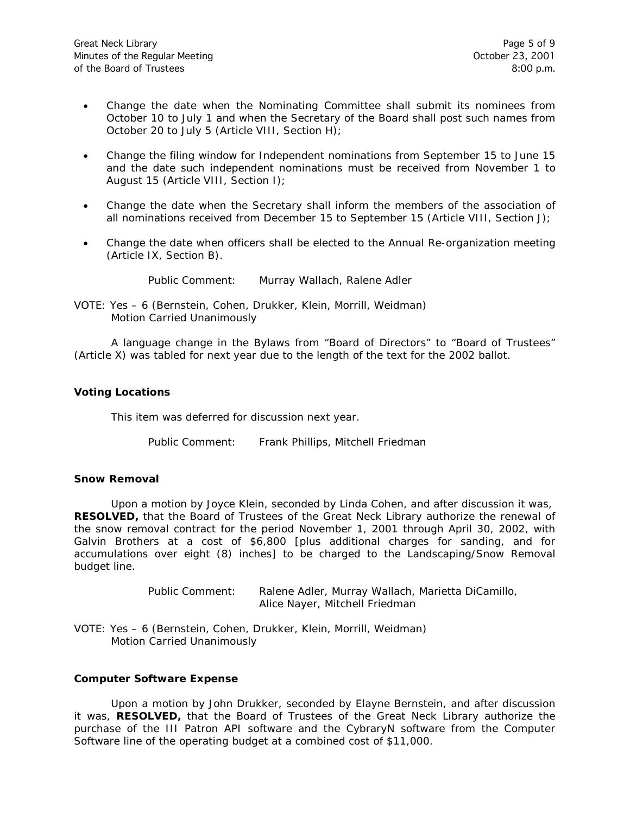- Change the date when the Nominating Committee shall submit its nominees from October 10 to July 1 and when the Secretary of the Board shall post such names from October 20 to July 5 (Article VIII, Section H);
- Change the filing window for Independent nominations from September 15 to June 15 and the date such independent nominations must be received from November 1 to August 15 (Article VIII, Section I);
- Change the date when the Secretary shall inform the members of the association of all nominations received from December 15 to September 15 (Article VIII, Section J);
- Change the date when officers shall be elected to the Annual Re-organization meeting (Article IX, Section B).

Public Comment: Murray Wallach, Ralene Adler

VOTE: Yes – 6 (Bernstein, Cohen, Drukker, Klein, Morrill, Weidman) *Motion Carried Unanimously*

A language change in the Bylaws from "Board of Directors" to "Board of Trustees" (Article X) was tabled for next year due to the length of the text for the 2002 ballot.

### **Voting Locations**

This item was deferred for discussion next year.

Public Comment: Frank Phillips, Mitchell Friedman

#### **Snow Removal**

Upon a motion by Joyce Klein, seconded by Linda Cohen, and after discussion it was, **RESOLVED,** that the Board of Trustees of the Great Neck Library authorize the renewal of the snow removal contract for the period November 1, 2001 through April 30, 2002, with Galvin Brothers at a cost of \$6,800 [plus additional charges for sanding, and for accumulations over eight (8) inches] to be charged to the Landscaping/Snow Removal budget line.

> Public Comment: Ralene Adler, Murray Wallach, Marietta DiCamillo, Alice Nayer, Mitchell Friedman

VOTE: Yes – 6 (Bernstein, Cohen, Drukker, Klein, Morrill, Weidman) *Motion Carried Unanimously*

#### **Computer Software Expense**

Upon a motion by John Drukker, seconded by Elayne Bernstein, and after discussion it was, **RESOLVED,** that the Board of Trustees of the Great Neck Library authorize the purchase of the III Patron API software and the CybraryN software from the Computer Software line of the operating budget at a combined cost of \$11,000.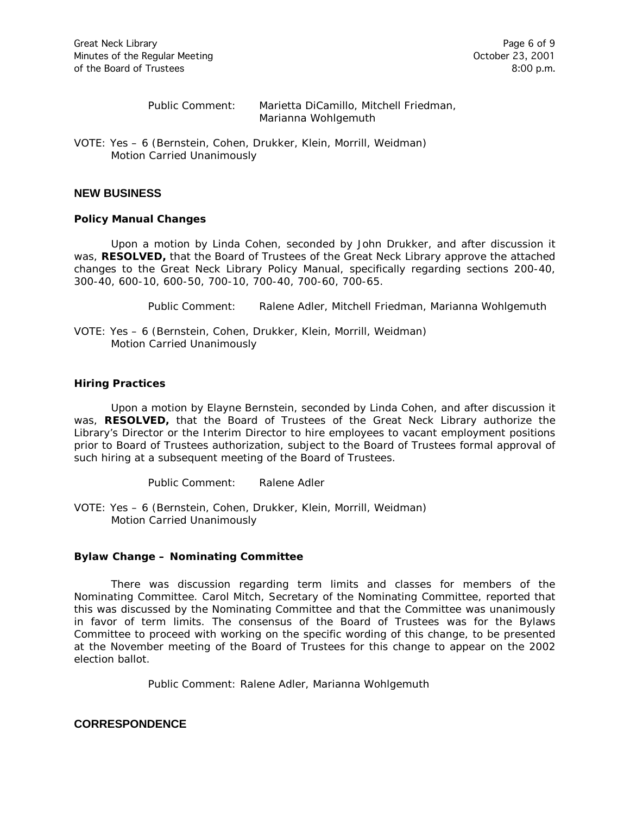Public Comment: Marietta DiCamillo, Mitchell Friedman, Marianna Wohlgemuth

VOTE: Yes – 6 (Bernstein, Cohen, Drukker, Klein, Morrill, Weidman) *Motion Carried Unanimously*

#### **NEW BUSINESS**

#### **Policy Manual Changes**

Upon a motion by Linda Cohen, seconded by John Drukker, and after discussion it was, **RESOLVED,** that the Board of Trustees of the Great Neck Library approve the attached changes to the Great Neck Library Policy Manual, specifically regarding sections 200-40, 300-40, 600-10, 600-50, 700-10, 700-40, 700-60, 700-65.

Public Comment: Ralene Adler, Mitchell Friedman, Marianna Wohlgemuth

VOTE: Yes – 6 (Bernstein, Cohen, Drukker, Klein, Morrill, Weidman) *Motion Carried Unanimously*

#### **Hiring Practices**

Upon a motion by Elayne Bernstein, seconded by Linda Cohen, and after discussion it was, **RESOLVED,** that the Board of Trustees of the Great Neck Library authorize the Library's Director or the Interim Director to hire employees to vacant employment positions prior to Board of Trustees authorization, subject to the Board of Trustees formal approval of such hiring at a subsequent meeting of the Board of Trustees.

Public Comment: Ralene Adler

VOTE: Yes – 6 (Bernstein, Cohen, Drukker, Klein, Morrill, Weidman) *Motion Carried Unanimously*

#### **Bylaw Change – Nominating Committee**

There was discussion regarding term limits and classes for members of the Nominating Committee. Carol Mitch, Secretary of the Nominating Committee, reported that this was discussed by the Nominating Committee and that the Committee was unanimously in favor of term limits. The consensus of the Board of Trustees was for the Bylaws Committee to proceed with working on the specific wording of this change, to be presented at the November meeting of the Board of Trustees for this change to appear on the 2002 election ballot.

Public Comment: Ralene Adler, Marianna Wohlgemuth

### **CORRESPONDENCE**